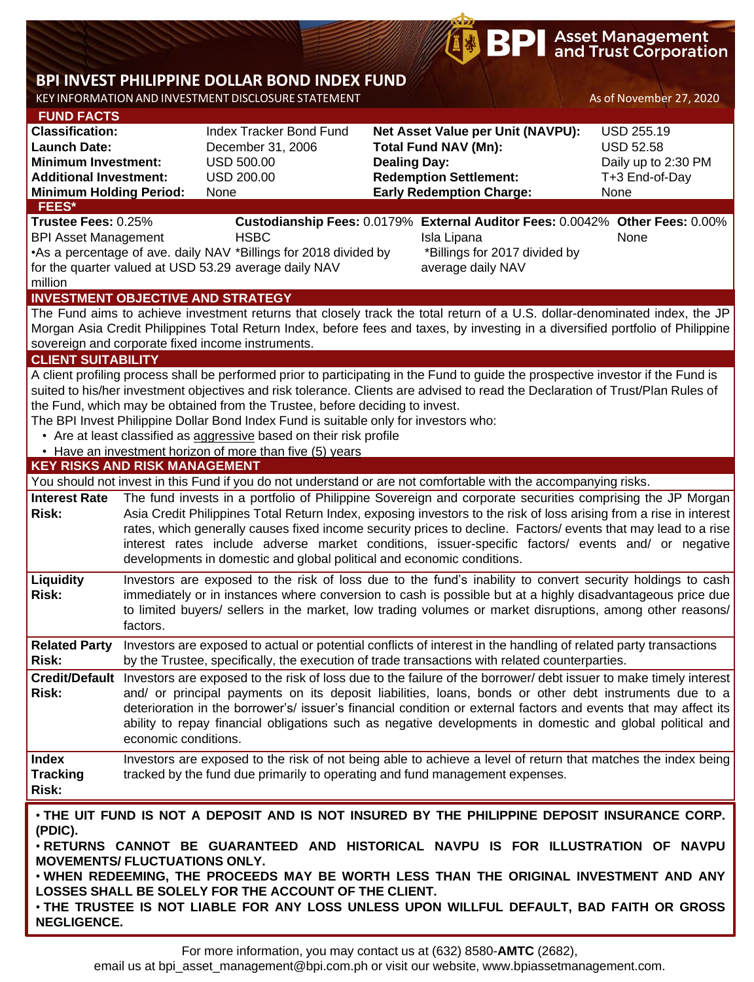# **BPI** Asset Management

## **BPI INVEST PHILIPPINE DOLLAR BOND INDEX FUND**

KEY INFORMATION AND INVESTMENT DISCLOSURE STATEMENT AS OF November 27, 2020

| <b>FUND FACTS</b>                               |                      |                                                                                      |                                                                                                                                                                                                                                                                                                                                                                                                                                                                             |                     |
|-------------------------------------------------|----------------------|--------------------------------------------------------------------------------------|-----------------------------------------------------------------------------------------------------------------------------------------------------------------------------------------------------------------------------------------------------------------------------------------------------------------------------------------------------------------------------------------------------------------------------------------------------------------------------|---------------------|
| <b>Classification:</b>                          |                      | Index Tracker Bond Fund                                                              | Net Asset Value per Unit (NAVPU):                                                                                                                                                                                                                                                                                                                                                                                                                                           | <b>USD 255.19</b>   |
| <b>Launch Date:</b>                             |                      | December 31, 2006                                                                    | <b>Total Fund NAV (Mn):</b>                                                                                                                                                                                                                                                                                                                                                                                                                                                 | <b>USD 52.58</b>    |
| <b>Minimum Investment:</b>                      |                      | <b>USD 500.00</b>                                                                    | <b>Dealing Day:</b>                                                                                                                                                                                                                                                                                                                                                                                                                                                         | Daily up to 2:30 PM |
| <b>Additional Investment:</b>                   |                      | <b>USD 200.00</b>                                                                    | <b>Redemption Settlement:</b>                                                                                                                                                                                                                                                                                                                                                                                                                                               | T+3 End-of-Day      |
| <b>Minimum Holding Period:</b>                  |                      | None                                                                                 | <b>Early Redemption Charge:</b>                                                                                                                                                                                                                                                                                                                                                                                                                                             | None                |
| FEES*<br>Trustee Fees: 0.25%                    |                      |                                                                                      | Custodianship Fees: 0.0179% External Auditor Fees: 0.0042% Other Fees: 0.00%                                                                                                                                                                                                                                                                                                                                                                                                |                     |
| <b>BPI Asset Management</b>                     |                      | <b>HSBC</b>                                                                          | Isla Lipana                                                                                                                                                                                                                                                                                                                                                                                                                                                                 | None                |
|                                                 |                      | •As a percentage of ave. daily NAV *Billings for 2018 divided by                     | *Billings for 2017 divided by                                                                                                                                                                                                                                                                                                                                                                                                                                               |                     |
|                                                 |                      | for the quarter valued at USD 53.29 average daily NAV                                | average daily NAV                                                                                                                                                                                                                                                                                                                                                                                                                                                           |                     |
| million                                         |                      |                                                                                      |                                                                                                                                                                                                                                                                                                                                                                                                                                                                             |                     |
| <b>INVESTMENT OBJECTIVE AND STRATEGY</b>        |                      |                                                                                      |                                                                                                                                                                                                                                                                                                                                                                                                                                                                             |                     |
|                                                 |                      |                                                                                      | The Fund aims to achieve investment returns that closely track the total return of a U.S. dollar-denominated index, the JP                                                                                                                                                                                                                                                                                                                                                  |                     |
|                                                 |                      |                                                                                      | Morgan Asia Credit Philippines Total Return Index, before fees and taxes, by investing in a diversified portfolio of Philippine                                                                                                                                                                                                                                                                                                                                             |                     |
|                                                 |                      | sovereign and corporate fixed income instruments.                                    |                                                                                                                                                                                                                                                                                                                                                                                                                                                                             |                     |
| <b>CLIENT SUITABILITY</b>                       |                      |                                                                                      |                                                                                                                                                                                                                                                                                                                                                                                                                                                                             |                     |
|                                                 |                      |                                                                                      | A client profiling process shall be performed prior to participating in the Fund to guide the prospective investor if the Fund is                                                                                                                                                                                                                                                                                                                                           |                     |
|                                                 |                      | the Fund, which may be obtained from the Trustee, before deciding to invest.         | suited to his/her investment objectives and risk tolerance. Clients are advised to read the Declaration of Trust/Plan Rules of                                                                                                                                                                                                                                                                                                                                              |                     |
|                                                 |                      | The BPI Invest Philippine Dollar Bond Index Fund is suitable only for investors who: |                                                                                                                                                                                                                                                                                                                                                                                                                                                                             |                     |
|                                                 |                      | • Are at least classified as aggressive based on their risk profile                  |                                                                                                                                                                                                                                                                                                                                                                                                                                                                             |                     |
|                                                 |                      | • Have an investment horizon of more than five (5) years                             |                                                                                                                                                                                                                                                                                                                                                                                                                                                                             |                     |
| <b>KEY RISKS AND RISK MANAGEMENT</b>            |                      |                                                                                      |                                                                                                                                                                                                                                                                                                                                                                                                                                                                             |                     |
|                                                 |                      |                                                                                      | You should not invest in this Fund if you do not understand or are not comfortable with the accompanying risks.                                                                                                                                                                                                                                                                                                                                                             |                     |
| <b>Interest Rate</b><br><b>Risk:</b>            |                      | developments in domestic and global political and economic conditions.               | The fund invests in a portfolio of Philippine Sovereign and corporate securities comprising the JP Morgan<br>Asia Credit Philippines Total Return Index, exposing investors to the risk of loss arising from a rise in interest<br>rates, which generally causes fixed income security prices to decline. Factors/ events that may lead to a rise<br>interest rates include adverse market conditions, issuer-specific factors/ events and/ or negative                     |                     |
| Liquidity<br>Risk:                              | factors.             |                                                                                      | Investors are exposed to the risk of loss due to the fund's inability to convert security holdings to cash<br>immediately or in instances where conversion to cash is possible but at a highly disadvantageous price due<br>to limited buyers/ sellers in the market, low trading volumes or market disruptions, among other reasons/                                                                                                                                       |                     |
| <b>Related Party</b><br><b>Risk:</b>            |                      |                                                                                      | Investors are exposed to actual or potential conflicts of interest in the handling of related party transactions<br>by the Trustee, specifically, the execution of trade transactions with related counterparties.                                                                                                                                                                                                                                                          |                     |
| <b>Risk:</b>                                    | economic conditions. |                                                                                      | Credit/Default Investors are exposed to the risk of loss due to the failure of the borrower/ debt issuer to make timely interest<br>and/ or principal payments on its deposit liabilities, loans, bonds or other debt instruments due to a<br>deterioration in the borrower's/ issuer's financial condition or external factors and events that may affect its<br>ability to repay financial obligations such as negative developments in domestic and global political and |                     |
| <b>Index</b><br><b>Tracking</b><br>Risk:        |                      |                                                                                      | Investors are exposed to the risk of not being able to achieve a level of return that matches the index being<br>tracked by the fund due primarily to operating and fund management expenses.                                                                                                                                                                                                                                                                               |                     |
| (PDIC).<br><b>MOVEMENTS/ FLUCTUATIONS ONLY.</b> |                      |                                                                                      | . THE UIT FUND IS NOT A DEPOSIT AND IS NOT INSURED BY THE PHILIPPINE DEPOSIT INSURANCE CORP.<br>. RETURNS CANNOT BE GUARANTEED AND HISTORICAL NAVPU IS FOR ILLUSTRATION OF NAVPU<br>. WHEN REDEEMING, THE PROCEEDS MAY BE WORTH LESS THAN THE ORIGINAL INVESTMENT AND ANY                                                                                                                                                                                                   |                     |

**LOSSES SHALL BE SOLELY FOR THE ACCOUNT OF THE CLIENT.** • **THE TRUSTEE IS NOT LIABLE FOR ANY LOSS UNLESS UPON WILLFUL DEFAULT, BAD FAITH OR GROSS NEGLIGENCE.**

For more information, you may contact us at (632) 8580-**AMTC** (2682),

email us at bpi\_asset\_management@bpi.com.ph or visit our website, www.bpiassetmanagement.com.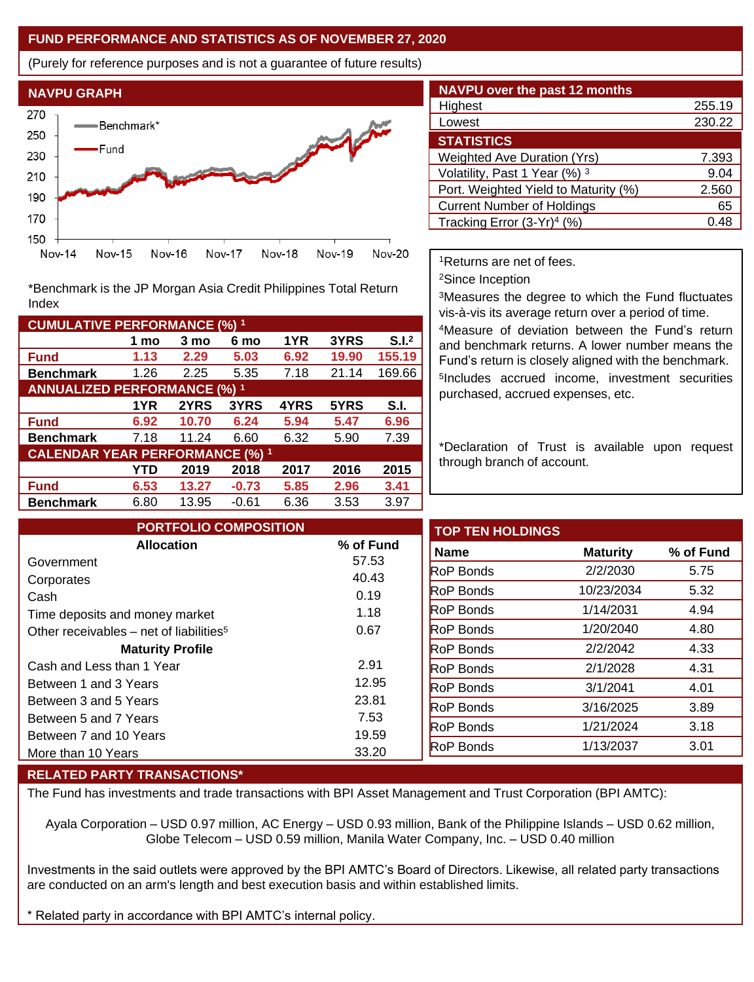### **FUND PERFORMANCE AND STATISTICS AS OF NOVEMBER 27, 2020**

(Purely for reference purposes and is not a guarantee of future results)



\*Benchmark is the JP Morgan Asia Credit Philippines Total Return Index

| <b>CUMULATIVE PERFORMANCE (%) 1</b>    |      |       |         |      |       |                   |
|----------------------------------------|------|-------|---------|------|-------|-------------------|
|                                        | 1 mo | 3 mo  | 6 mo    | 1YR  | 3YRS  | S.I. <sup>2</sup> |
| <b>Fund</b>                            | 1.13 | 2.29  | 5.03    | 6.92 | 19.90 | 155.19            |
| <b>Benchmark</b>                       | 1.26 | 2.25  | 5.35    | 7.18 | 21.14 | 169.66            |
| <b>ANNUALIZED PERFORMANCE (%) 1</b>    |      |       |         |      |       |                   |
|                                        | 1YR  | 2YRS  | 3YRS    | 4YRS | 5YRS  | S.I.              |
| <b>Fund</b>                            | 6.92 | 10.70 | 6.24    | 5.94 | 5.47  | 6.96              |
| <b>Benchmark</b>                       | 7.18 | 11.24 | 6.60    | 6.32 | 5.90  | 7.39              |
| <b>CALENDAR YEAR PERFORMANCE (%) 1</b> |      |       |         |      |       |                   |
|                                        | YTD  | 2019  | 2018    | 2017 | 2016  | 2015              |
| Fund                                   | 6.53 | 13.27 | $-0.73$ | 5.85 | 2.96  | 3.41              |
| <b>Benchmark</b>                       | 6.80 | 13.95 | $-0.61$ | 6.36 | 3.53  | 3.97              |

| <b>NAVPU over the past 12 months</b>   |        |
|----------------------------------------|--------|
| Highest                                | 255.19 |
| Lowest                                 | 230.22 |
| <b>STATISTICS</b>                      |        |
| <b>Weighted Ave Duration (Yrs)</b>     | 7.393  |
| Volatility, Past 1 Year (%) 3          | 9.04   |
| Port. Weighted Yield to Maturity (%)   | 2.560  |
| <b>Current Number of Holdings</b>      | 65     |
| Tracking Error (3-Yr) <sup>4</sup> (%) | 0.48   |

<sup>1</sup>Returns are net of fees.

<sup>2</sup>Since Inception

<sup>3</sup>Measures the degree to which the Fund fluctuates vis-à-vis its average return over a period of time.

<sup>4</sup>Measure of deviation between the Fund's return and benchmark returns. A lower number means the Fund's return is closely aligned with the benchmark. 5 Includes accrued income, investment securities purchased, accrued expenses, etc.

\*Declaration of Trust is available upon request through branch of account.

| <b>PORTFOLIO COMPOSITION</b>                        |                | <b>TOP TEN HOLDINGS</b> |                 |           |
|-----------------------------------------------------|----------------|-------------------------|-----------------|-----------|
| <b>Allocation</b>                                   | % of Fund      | <b>Name</b>             | <b>Maturity</b> | % of Fund |
| Government                                          | 57.53          | <b>RoP Bonds</b>        | 2/2/2030        |           |
| Corporates                                          | 40.43          | <b>RoP Bonds</b>        | 10/23/2034      |           |
| Cash                                                | 0.19           |                         |                 | 5.32      |
| Time deposits and money market                      | 1.18           | <b>RoP Bonds</b>        | 1/14/2031       | 4.94      |
| Other receivables – net of liabilities <sup>5</sup> | 0.67           | <b>RoP Bonds</b>        | 1/20/2040       | 4.80      |
| <b>Maturity Profile</b>                             |                | <b>RoP Bonds</b>        | 2/2/2042        | 4.33      |
| Cash and Less than 1 Year                           | 2.91           | <b>RoP Bonds</b>        | 2/1/2028        | 4.31      |
| Between 1 and 3 Years                               | 12.95          | <b>RoP</b> Bonds        | 3/1/2041        | 4.01      |
| Between 3 and 5 Years                               | 23.81          | <b>RoP Bonds</b>        | 3/16/2025       | 3.89      |
| Between 5 and 7 Years                               | 7.53           | <b>RoP Bonds</b>        | 1/21/2024       | 3.18      |
| Between 7 and 10 Years                              | 19.59<br>33.20 | <b>RoP</b> Bonds        | 1/13/2037       | 3.01      |
| More than 10 Years                                  |                |                         |                 |           |

#### **RELATED PARTY TRANSACTIONS\***

The Fund has investments and trade transactions with BPI Asset Management and Trust Corporation (BPI AMTC):

Ayala Corporation – USD 0.97 million, AC Energy – USD 0.93 million, Bank of the Philippine Islands – USD 0.62 million, Globe Telecom – USD 0.59 million, Manila Water Company, Inc. – USD 0.40 million

Investments in the said outlets were approved by the BPI AMTC's Board of Directors. Likewise, all related party transactions are conducted on an arm's length and best execution basis and within established limits.

\* Related party in accordance with BPI AMTC's internal policy.